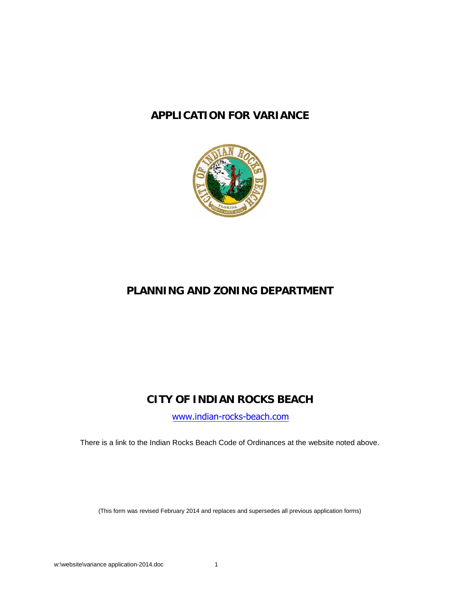# **APPLICATION FOR VARIANCE**



# **PLANNING AND ZONING DEPARTMENT**

# **CITY OF INDIAN ROCKS BEACH**

[www.indian-rocks-beach.com](http://www.indian-rocks-beach.com/)

There is a link to the Indian Rocks Beach Code of Ordinances at the website noted above.

(This form was revised February 2014 and replaces and supersedes all previous application forms)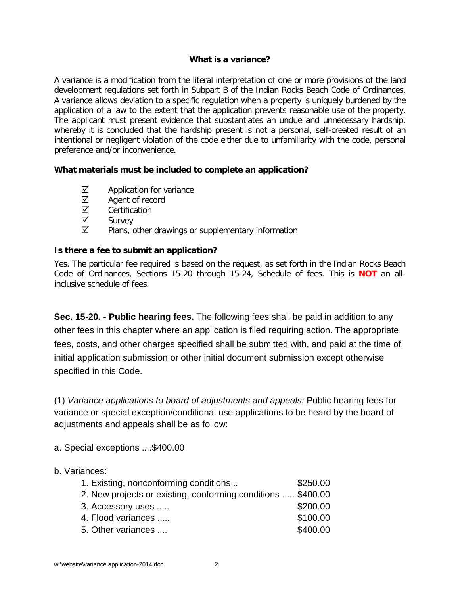### **What is a variance?**

A variance is a modification from the literal interpretation of one or more provisions of the land development regulations set forth in Subpart B of the Indian Rocks Beach Code of Ordinances. A variance allows deviation to a specific regulation when a property is uniquely burdened by the application of a law to the extent that the application prevents reasonable use of the property. The applicant must present evidence that substantiates an undue and unnecessary hardship, whereby it is concluded that the hardship present is not a personal, self-created result of an intentional or negligent violation of the code either due to unfamiliarity with the code, personal preference and/or inconvenience.

## **What materials must be included to complete an application?**

- $\boxtimes$  Application for variance
- $\boxtimes$  Agent of record
- **☑** Certification
- **Ø** Survey
- $\boxtimes$  Plans, other drawings or supplementary information

## **Is there a fee to submit an application?**

Yes. The particular fee required is based on the request, as set forth in the Indian Rocks Beach Code of Ordinances, Sections 15-20 through 15-24, Schedule of fees. This is **NOT** an allinclusive schedule of fees.

**Sec. 15-20. - Public hearing fees.** The following fees shall be paid in addition to any other fees in this chapter where an application is filed requiring action. The appropriate fees, costs, and other charges specified shall be submitted with, and paid at the time of, initial application submission or other initial document submission except otherwise specified in this Code.

(1) *Variance applications to board of adjustments and appeals:* Public hearing fees for variance or special exception/conditional use applications to be heard by the board of adjustments and appeals shall be as follow:

a. Special exceptions ....\$400.00

# b. Variances:

| 1. Existing, nonconforming conditions                        | \$250.00 |
|--------------------------------------------------------------|----------|
| 2. New projects or existing, conforming conditions  \$400.00 |          |
| 3. Accessory uses                                            | \$200.00 |
| 4. Flood variances                                           | \$100.00 |
| 5. Other variances                                           | \$400.00 |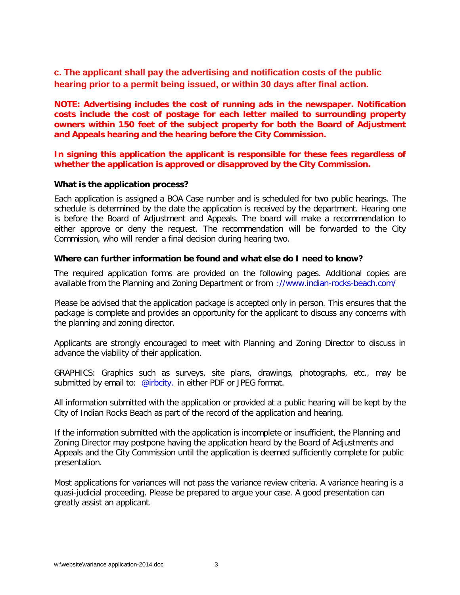# **c. The applicant shall pay the advertising and notification costs of the public hearing prior to a permit being issued, or within 30 days after final action.**

**NOTE: Advertising includes the cost of running ads in the newspaper. Notification costs include the cost of postage for each letter mailed to surrounding property owners within 150 feet of the subject property for both the Board of Adjustment and Appeals hearing and the hearing before the City Commission.**

**In signing this application the applicant is responsible for these fees regardless of whether the application is approved or disapproved by the City Commission.**

#### **What is the application process?**

Each application is assigned a BOA Case number and is scheduled for two public hearings. The schedule is determined by the date the application is received by the department. Hearing one is before the Board of Adjustment and Appeals. The board will make a recommendation to either approve or deny the request. The recommendation will be forwarded to the City Commission, who will render a final decision during hearing two.

#### **Where can further information be found and what else do I need to know?**

The required application forms are provided on the following pages. Additional copies are available from the Planning and Zoning Department or from [://www.indian-rocks-beach.com/](http://www.indian-rocks-beach.com/)

Please be advised that the application package is accepted only in person. This ensures that the package is complete and provides an opportunity for the applicant to discuss any concerns with the planning and zoning director.

Applicants are strongly encouraged to meet with Planning and Zoning Director to discuss in advance the viability of their application.

GRAPHICS: Graphics such as surveys, site plans, drawings, photographs, etc., may be submitted by email to: [@irbcity.](mailto:dtaylor@irbcity.com) in either PDF or JPEG format.

All information submitted with the application or provided at a public hearing will be kept by the City of Indian Rocks Beach as part of the record of the application and hearing.

If the information submitted with the application is incomplete or insufficient, the Planning and Zoning Director may postpone having the application heard by the Board of Adjustments and Appeals and the City Commission until the application is deemed sufficiently complete for public presentation.

Most applications for variances will not pass the variance review criteria. A variance hearing is a quasi-judicial proceeding. Please be prepared to argue your case. A good presentation can greatly assist an applicant.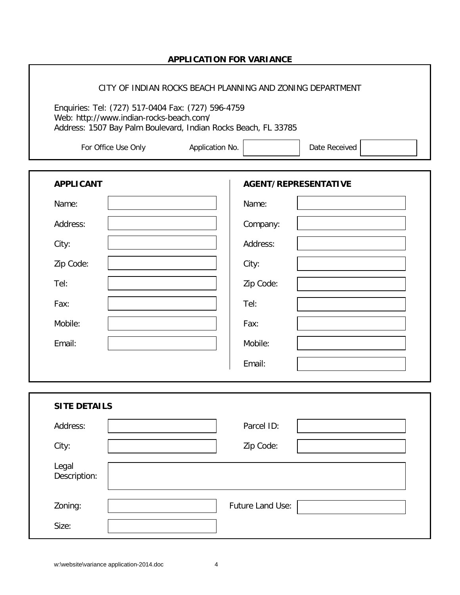## **APPLICATION FOR VARIANCE**

#### CITY OF INDIAN ROCKS BEACH PLANNING AND ZONING DEPARTMENT

Enquiries: Tel: (727) 517-0404 Fax: (727) 596-4759 Web: http://www.indian-rocks-beach.com/ Address: 1507 Bay Palm Boulevard, Indian Rocks Beach, FL 33785

| For Office Use Only |  |
|---------------------|--|
|                     |  |

| Application No. | Date Received |
|-----------------|---------------|
|                 |               |

| <b>APPLICANT</b>      | AGENT/REPRESENTATIVE |
|-----------------------|----------------------|
| Name:                 | Name:                |
| Address:              | Company:             |
| City:                 | Address:             |
| Zip Code:             | City:                |
| Tel:                  | Zip Code:            |
| Fax:                  | Tel:                 |
| Mobile:               | Fax:                 |
| Email:                | Mobile:              |
|                       | Email:               |
|                       |                      |
| <b>SITE DETAILS</b>   |                      |
| Address:              | Parcel ID:           |
| City:                 | Zip Code:            |
| Legal<br>Description: |                      |
| Zoning:               | Future Land Use:     |
| Size:                 |                      |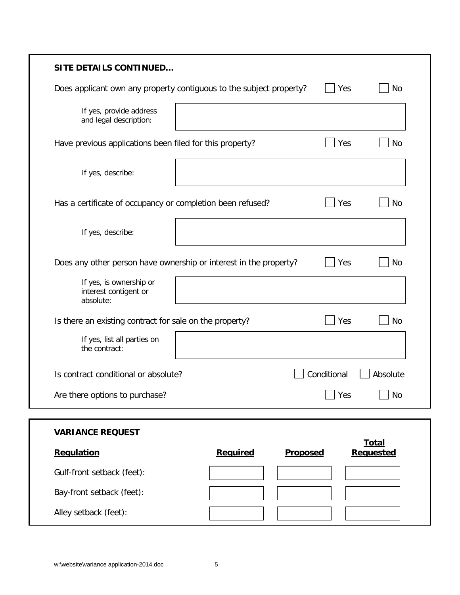| <b>SITE DETAILS CONTINUED</b>                                       |          |                 |                  |
|---------------------------------------------------------------------|----------|-----------------|------------------|
| Does applicant own any property contiguous to the subject property? |          |                 | No<br>Yes        |
| If yes, provide address<br>and legal description:                   |          |                 |                  |
| Have previous applications been filed for this property?            |          |                 | No<br>Yes        |
| If yes, describe:                                                   |          |                 |                  |
| Has a certificate of occupancy or completion been refused?          |          |                 | Yes<br>No        |
| If yes, describe:                                                   |          |                 |                  |
| Does any other person have ownership or interest in the property?   |          |                 | Yes<br>No        |
| If yes, is ownership or<br>interest contigent or<br>absolute:       |          |                 |                  |
| Is there an existing contract for sale on the property?             |          |                 | Yes<br>No        |
| If yes, list all parties on<br>the contract:                        |          |                 |                  |
| Is contract conditional or absolute?                                |          | Conditional     | Absolute         |
| Are there options to purchase?                                      |          |                 | <b>No</b><br>Yes |
|                                                                     |          |                 |                  |
| <b>VARIANCE REQUEST</b>                                             |          |                 | <b>Total</b>     |
| Regulation                                                          | Required | <b>Proposed</b> | <b>Requested</b> |
| Gulf-front setback (feet):                                          |          |                 |                  |
| Bay-front setback (feet):                                           |          |                 |                  |
| Alley setback (feet):                                               |          |                 |                  |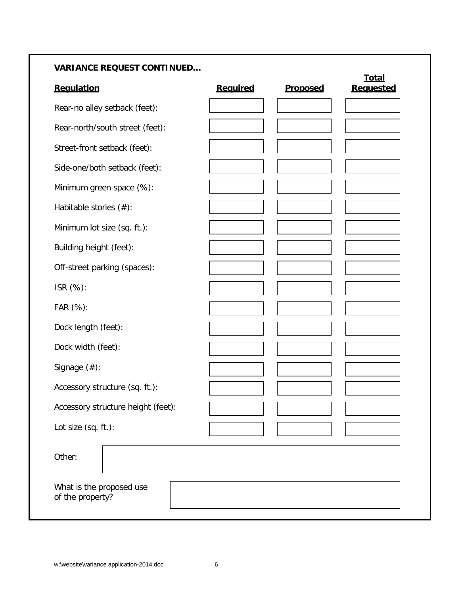# **VARIANCE REQUEST CONTINUED…**

| Regulation                                   | Required | <b>Proposed</b> | <b>Total</b><br><b>Requested</b> |
|----------------------------------------------|----------|-----------------|----------------------------------|
| Rear-no alley setback (feet):                |          |                 |                                  |
| Rear-north/south street (feet):              |          |                 |                                  |
| Street-front setback (feet):                 |          |                 |                                  |
| Side-one/both setback (feet):                |          |                 |                                  |
| Minimum green space (%):                     |          |                 |                                  |
| Habitable stories $(\#)$ :                   |          |                 |                                  |
| Minimum lot size (sq. ft.):                  |          |                 |                                  |
| Building height (feet):                      |          |                 |                                  |
| Off-street parking (spaces):                 |          |                 |                                  |
| ISR (%):                                     |          |                 |                                  |
| FAR (%):                                     |          |                 |                                  |
| Dock length (feet):                          |          |                 |                                  |
| Dock width (feet):                           |          |                 |                                  |
| Signage $(\#)$ :                             |          |                 |                                  |
| Accessory structure (sq. ft.):               |          |                 |                                  |
| Accessory structure height (feet):           |          |                 |                                  |
| Lot size (sq. ft.):                          |          |                 |                                  |
| Other:                                       |          |                 |                                  |
| What is the proposed use<br>of the property? |          |                 |                                  |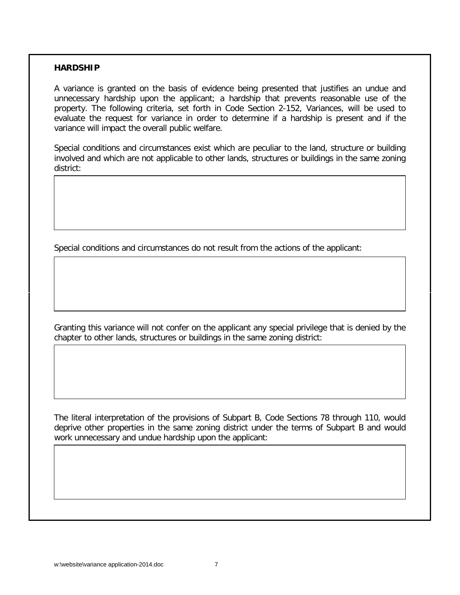#### **HARDSHIP**

A variance is granted on the basis of evidence being presented that justifies an undue and unnecessary hardship upon the applicant; a hardship that prevents reasonable use of the property. The following criteria, set forth in Code Section 2-152, Variances, will be used to evaluate the request for variance in order to determine if a hardship is present and if the variance will impact the overall public welfare.

Special conditions and circumstances exist which are peculiar to the land, structure or building involved and which are not applicable to other lands, structures or buildings in the same zoning district:

Special conditions and circumstances do not result from the actions of the applicant:

Granting this variance will not confer on the applicant any special privilege that is denied by the chapter to other lands, structures or buildings in the same zoning district:

The literal interpretation of the provisions of Subpart B, Code Sections 78 through 110, would deprive other properties in the same zoning district under the terms of Subpart B and would work unnecessary and undue hardship upon the applicant: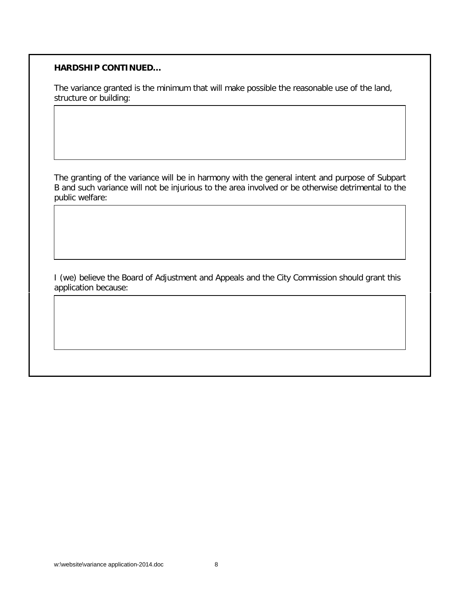### **HARDSHIP CONTINUED…**

The variance granted is the minimum that will make possible the reasonable use of the land, structure or building:

The granting of the variance will be in harmony with the general intent and purpose of Subpart B and such variance will not be injurious to the area involved or be otherwise detrimental to the public welfare:

I (we) believe the Board of Adjustment and Appeals and the City Commission should grant this application because: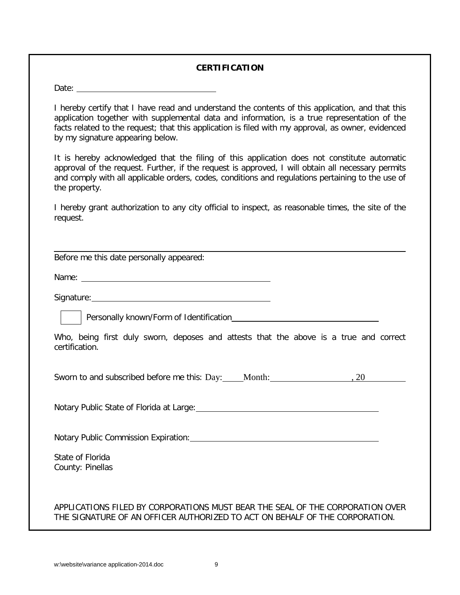#### **CERTIFICATION**

Date:

I hereby certify that I have read and understand the contents of this application, and that this application together with supplemental data and information, is a true representation of the facts related to the request; that this application is filed with my approval, as owner, evidenced by my signature appearing below.

It is hereby acknowledged that the filing of this application does not constitute automatic approval of the request. Further, if the request is approved, I will obtain all necessary permits and comply with all applicable orders, codes, conditions and regulations pertaining to the use of the property.

I hereby grant authorization to any city official to inspect, as reasonable times, the site of the request.

Before me this date personally appeared:

Name: Name:

Signature: <u>Contract Contract Contract Contract Contract Contract Contract Contract Contract Contract Contract Contract Contract Contract Contract Contract Contract Contract Contract Contract Contract Contract Contract Con</u>

Personally known/Form of Identification

Who, being first duly sworn, deposes and attests that the above is a true and correct certification.

Sworn to and subscribed before me this: Day: Month: , 20

Notary Public State of Florida at Large: Manual Material Annual Material Annual Material Annual Material Annua

Notary Public Commission Expiration: <u>Commission Expiration</u>

State of Florida County: Pinellas

### APPLICATIONS FILED BY CORPORATIONS MUST BEAR THE SEAL OF THE CORPORATION OVER THE SIGNATURE OF AN OFFICER AUTHORIZED TO ACT ON BEHALF OF THE CORPORATION.